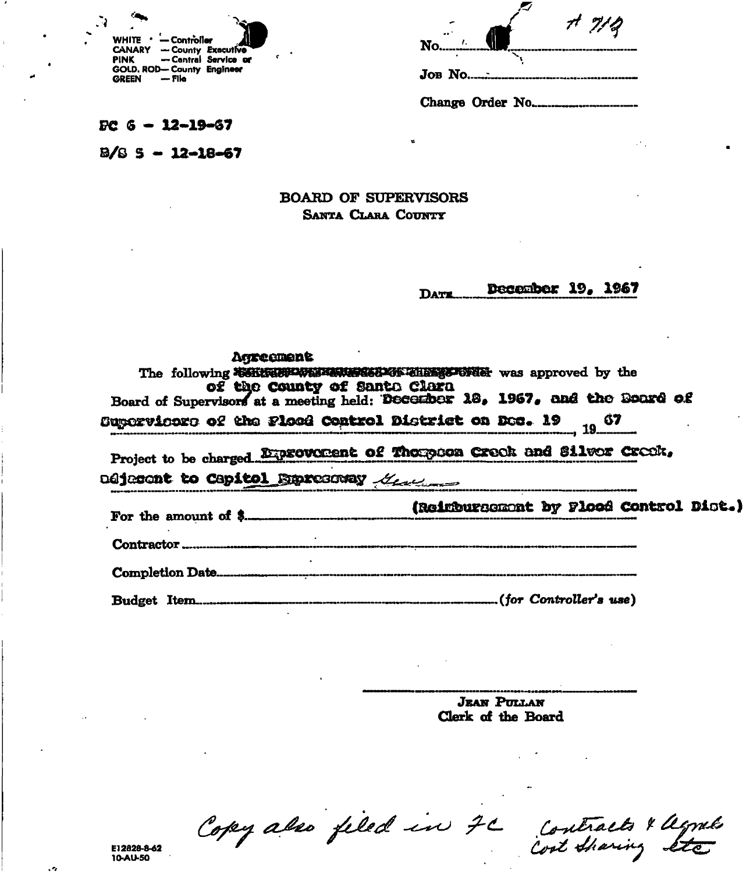| ×.           |                                     |                      |
|--------------|-------------------------------------|----------------------|
|              | WHITE $\cdot$ - Controller          |                      |
| <b>PINK</b>  | <b>CANARY - County Executive</b>    | - Central Service or |
| <b>CREEN</b> | GOLD. ROD-County Engineer<br>— File |                      |

| $N$ <sup>o</sup> | 77/2 |
|------------------|------|
| JOB No           |      |
| Change Order No  |      |

 $PC 6 - 12 - 19 - 67$ 

 $B/S = -12 - 18 - 67$ 

# **BOARD OF SUPERVISORS** SANTA CLARA COUNTY

#### December 19, 1967 DATE.

| Agreement<br>of the County of Santa Clara | The following SSKERBRWEISE WEISE THE STORE was approved by the<br>Board of Supervisors at a meeting held: December 18, 1967, and the Board of |
|-------------------------------------------|-----------------------------------------------------------------------------------------------------------------------------------------------|
|                                           | Supervicors of the Ploce Control District on Dec. 19 19 67                                                                                    |
| adjector to Capitol Expressedy Manuscript | Project to be charged Exprovement of Thompson Creek and Silver Creek,                                                                         |
| For the amount of $\frac{1}{2}$           | (Reinbursement by Plood Control Dist.)                                                                                                        |
|                                           |                                                                                                                                               |
|                                           |                                                                                                                                               |
|                                           |                                                                                                                                               |

**JEAN PULLAN** Clerk of the Board

Copy also filed in 7C contracts & agnets

E12828-8-62<br>10-AU-50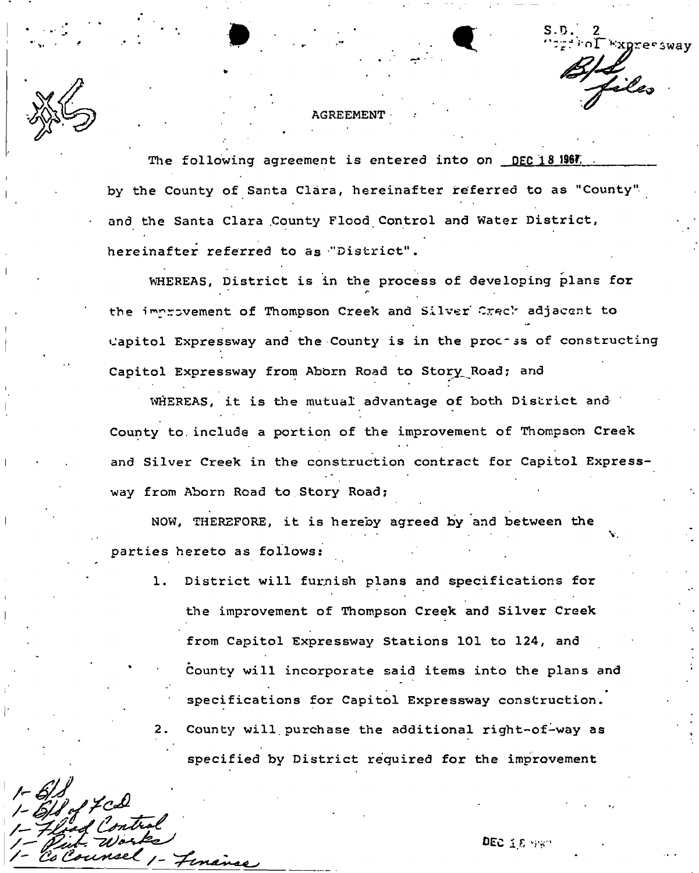**Expressway** 

v.

### **AGREEMENT**

The following agreement is entered into on DEC 18 1967. **by the County of Santa Clara, hereinafter referred to as "County" and the Santa Clara .County Flood Control and Water District, hereinafter referred to as "District".** 

**WHEREAS, District is in the process of developing plans for**  the improvement of Thompson Creek and Silver Creck adjacent to **Capitol Expressway and the County is in the proc-ss of constructing Capitol Expressway from Abbrn Road to Story\_ Road? and** 

WHEREAS, it is the mutual advantage of both District and **County to. include a portion of the improvement of Thompson Creek and Silver Creek in the construction contract for Capitol Expressway from Aborn Road to Story Road;** 

**NOW, THEREFORE, it is hereby agreed by and between the parties hereto as follows:** 

/*A* -

1. District will furnish plans and specifications for **the improvement of Thompson Creek and Silver Creek from Capitol Expressway Stations 101 to 124, and County will incorporate said items into the plans and specifications for Capitol Expressway construction. 2. County will.purchase the additional right-of-way as specified by District required for the improvement**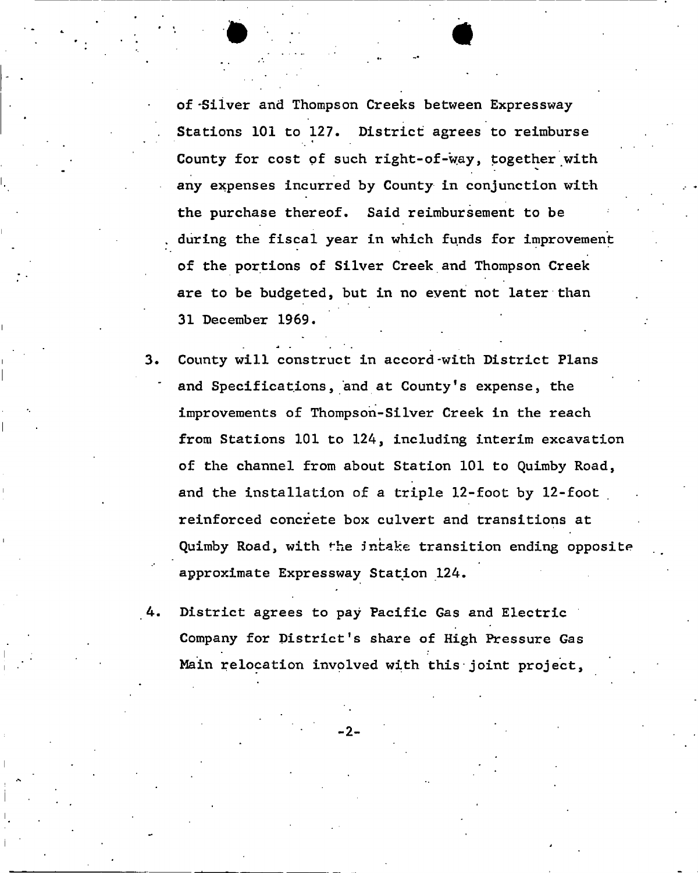of -Silver and Thompson Creeks between Expressway Stations 101 to 127. District agrees to reimburse County for cost of such right-of-way, together with any expenses incurred by County in conjunction with the purchase thereof. Said reimbursement to be . during the fiscal year in which funds for improvement of the portions of Silver Creek and Thompson Creek are to be budgeted, but in no event not later than 31 December 1969.

. ..

- 3. County will construct in accord-with District Plans and Specifications, and at County's expense, the improvements of Thompson-Silver Creek in the reach from Stations 101 to 124, including interim excavation of the channel from about Station 101 to Quimby Road, and the installation of a triple 12-foot by 12-foot reinforced concrete box culvert and transitions at Quimby Road, with fhe intake transition ending opposite approximate Expressway Station 124.
- 4. District agrees to pay Pacific Gas and Electric Company for District's share of High Pressure Gas Main relocation involved with this-joint project,

- 2-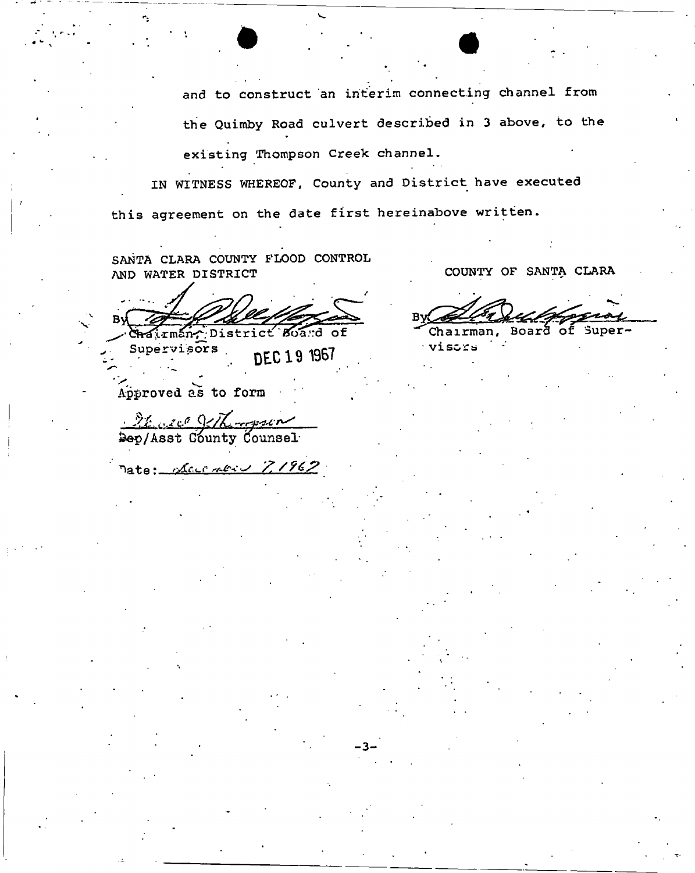and to construct an interim connecting channel from the Quimby Road culvert described in 3 above, to the existing Thompson Creek channel.

IN WITNESS WHEREOF, County and District have executed this agreement on the date first hereinabove written.

SANTA CLARA COUNTY F'LOOD CONTROL AND WATER DISTRICT

hairman, District Board of

Supervisors DEC 19 1967

Approved as to form

It are git with Pep/Asst County Counsel

Pate: Leventre 7,1962

COUNTY OF SANTA CLARA

Chairman, Board of Super-

viscra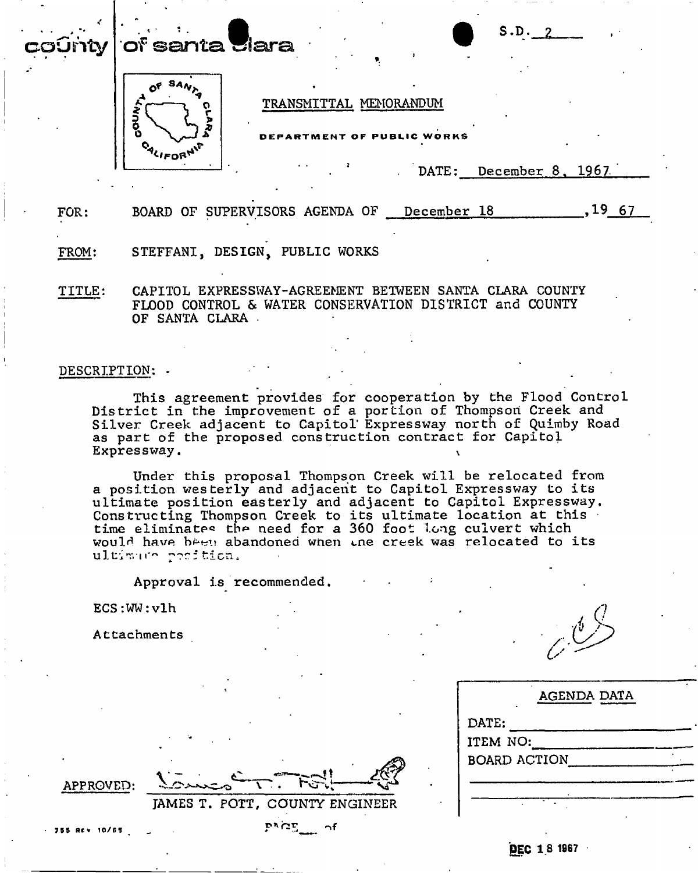### $\mathbf{r} \cdot \mathbf{r} = \mathbf{r} \cdot \mathbf{r}$  , where  $\mathbf{r} \cdot \mathbf{r} = \mathbf{r} \cdot \mathbf{r}$ county **of** sant a *\** Q S-D. 2 **Tara**



## TRANSMITTAL MEMORANDUM

RTMENT OF PUBLIC WORKS

DATE: December 8, 1967.

FOR: BOARD OF SUPERVISORS AGENDA OF December 18 1967

## FROM: STEFFANI, DESIGN, PUBLIC WORKS

TITLE: CAPITOL EXPRESSWAY-AGREEMENT BETWEEN SANTA CLARA COUNTY FLOOD CONTROL & WATER CONSERVATION DISTRICT and COUNTY OF SANTA CLARA .

### DESCRIPTION: . .

This agreement provides for cooperation by the Flood Control District in the improvement of a portion of Thompson Creek and Silver Creek adjacent to Capitol' Expressway north of Quimby Road as part of the proposed construction contract for Capitol Expressway.

Under this proposal Thompson Creek will be relocated from a position westerly and adjacent to Capitol Expressway to its ultimate position easterly and adjacent to Capitol Expressway. Constructing Thompson Creek to its ultimate location at this time eliminates the need for a 360 foot long culvert which would have been abandoned when ine creek was relocated to its ultimum position.

Approval is recommended

ECS:WW:vlh

Attachments

| <b>AGENDA DATA</b>  |  |
|---------------------|--|
| DATE:               |  |
| ITEM NO:            |  |
| <b>BOARD ACTION</b> |  |
|                     |  |
|                     |  |
|                     |  |

**APPROVED:** 

755 Rev 10/65

**JAMES T. POTT, COUNTY ENGINEER**   $P^{\wedge}$  $C^{\mathbf{F}}$  of

**DEC IS 1967**